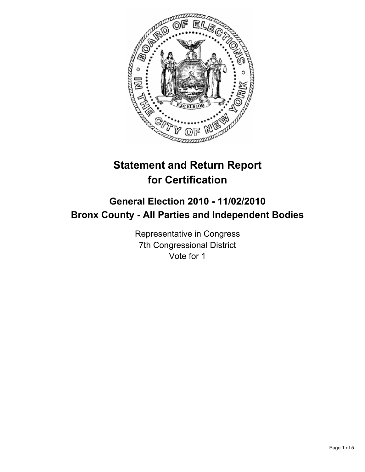

# **Statement and Return Report for Certification**

## **General Election 2010 - 11/02/2010 Bronx County - All Parties and Independent Bodies**

Representative in Congress 7th Congressional District Vote for 1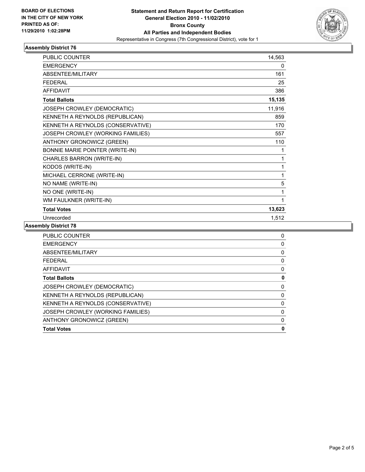

#### **Assembly District 76**

| <b>PUBLIC COUNTER</b>             | 14,563 |
|-----------------------------------|--------|
| <b>EMERGENCY</b>                  | 0      |
| ABSENTEE/MILITARY                 | 161    |
| <b>FEDERAL</b>                    | 25     |
| <b>AFFIDAVIT</b>                  | 386    |
| <b>Total Ballots</b>              | 15,135 |
| JOSEPH CROWLEY (DEMOCRATIC)       | 11,916 |
| KENNETH A REYNOLDS (REPUBLICAN)   | 859    |
| KENNETH A REYNOLDS (CONSERVATIVE) | 170    |
| JOSEPH CROWLEY (WORKING FAMILIES) | 557    |
| ANTHONY GRONOWICZ (GREEN)         | 110    |
| BONNIE MARIE POINTER (WRITE-IN)   | 1      |
| CHARLES BARRON (WRITE-IN)         | 1      |
| KODOS (WRITE-IN)                  | 1      |
| MICHAEL CERRONE (WRITE-IN)        | 1      |
| NO NAME (WRITE-IN)                | 5      |
| NO ONE (WRITE-IN)                 | 1      |
| WM FAULKNER (WRITE-IN)            |        |
| <b>Total Votes</b>                | 13,623 |
| Unrecorded                        | 1,512  |

**Assembly District 78**

| <b>PUBLIC COUNTER</b>              | 0 |
|------------------------------------|---|
| <b>EMERGENCY</b>                   | 0 |
| ABSENTEE/MILITARY                  | 0 |
| <b>FEDERAL</b>                     | 0 |
| <b>AFFIDAVIT</b>                   | 0 |
| <b>Total Ballots</b>               | 0 |
| <b>JOSEPH CROWLEY (DEMOCRATIC)</b> | 0 |
| KENNETH A REYNOLDS (REPUBLICAN)    | 0 |
| KENNETH A REYNOLDS (CONSERVATIVE)  | 0 |
| JOSEPH CROWLEY (WORKING FAMILIES)  | 0 |
| ANTHONY GRONOWICZ (GREEN)          | 0 |
| <b>Total Votes</b>                 | 0 |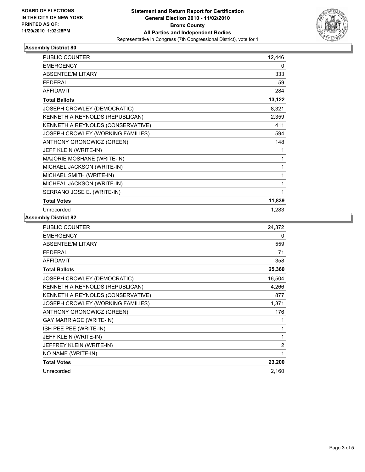

### **Assembly District 80**

| <b>PUBLIC COUNTER</b>             | 12,446 |
|-----------------------------------|--------|
| <b>EMERGENCY</b>                  | 0      |
| <b>ABSENTEE/MILITARY</b>          | 333    |
| <b>FEDERAL</b>                    | 59     |
| <b>AFFIDAVIT</b>                  | 284    |
| <b>Total Ballots</b>              | 13,122 |
| JOSEPH CROWLEY (DEMOCRATIC)       | 8,321  |
| KENNETH A REYNOLDS (REPUBLICAN)   | 2,359  |
| KENNETH A REYNOLDS (CONSERVATIVE) | 411    |
| JOSEPH CROWLEY (WORKING FAMILIES) | 594    |
| ANTHONY GRONOWICZ (GREEN)         | 148    |
| JEFF KLEIN (WRITE-IN)             | 1      |
| MAJORIE MOSHANE (WRITE-IN)        | 1      |
| MICHAEL JACKSON (WRITE-IN)        | 1      |
| MICHAEL SMITH (WRITE-IN)          | 1      |
| MICHEAL JACKSON (WRITE-IN)        | 1      |
| SERRANO JOSE E. (WRITE-IN)        | 1      |
| <b>Total Votes</b>                | 11,839 |
| Unrecorded                        | 1,283  |

#### **Assembly District 82**

| PUBLIC COUNTER                    | 24,372         |
|-----------------------------------|----------------|
| <b>EMERGENCY</b>                  | 0              |
| <b>ABSENTEE/MILITARY</b>          | 559            |
| <b>FEDERAL</b>                    | 71             |
| <b>AFFIDAVIT</b>                  | 358            |
| <b>Total Ballots</b>              | 25,360         |
| JOSEPH CROWLEY (DEMOCRATIC)       | 16,504         |
| KENNETH A REYNOLDS (REPUBLICAN)   | 4,266          |
| KENNETH A REYNOLDS (CONSERVATIVE) | 877            |
| JOSEPH CROWLEY (WORKING FAMILIES) | 1,371          |
| ANTHONY GRONOWICZ (GREEN)         | 176            |
| <b>GAY MARRIAGE (WRITE-IN)</b>    | 1              |
| ISH PEE PEE (WRITE-IN)            | 1              |
| JEFF KLEIN (WRITE-IN)             | $\mathbf{1}$   |
| JEFFREY KLEIN (WRITE-IN)          | $\overline{2}$ |
| NO NAME (WRITE-IN)                | 1              |
| <b>Total Votes</b>                | 23,200         |
| Unrecorded                        | 2,160          |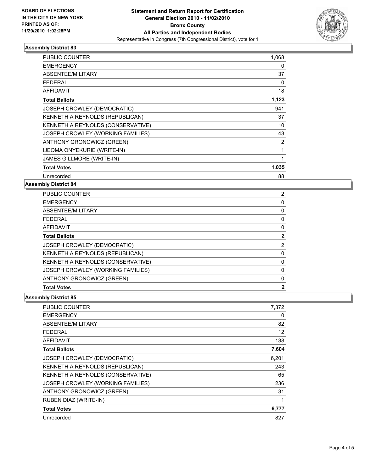

#### **Assembly District 83**

| PUBLIC COUNTER                     | 1,068        |
|------------------------------------|--------------|
| <b>EMERGENCY</b>                   | 0            |
| ABSENTEE/MILITARY                  | 37           |
| FEDERAL                            | 0            |
| <b>AFFIDAVIT</b>                   | 18           |
| <b>Total Ballots</b>               | 1,123        |
| JOSEPH CROWLEY (DEMOCRATIC)        | 941          |
| KENNETH A REYNOLDS (REPUBLICAN)    | 37           |
| KENNETH A REYNOLDS (CONSERVATIVE)  | 10           |
| JOSEPH CROWLEY (WORKING FAMILIES)  | 43           |
| ANTHONY GRONOWICZ (GREEN)          | 2            |
| <b>IJEOMA ONYEKURIE (WRITE-IN)</b> | 1            |
| JAMES GILLMORE (WRITE-IN)          | $\mathbf{1}$ |
| <b>Total Votes</b>                 | 1,035        |
| Unrecorded                         | 88           |

#### **Assembly District 84**

| <b>PUBLIC COUNTER</b>              | 2            |
|------------------------------------|--------------|
| <b>EMERGENCY</b>                   | 0            |
| ABSENTEE/MILITARY                  | 0            |
| <b>FEDERAL</b>                     | 0            |
| AFFIDAVIT                          | 0            |
| <b>Total Ballots</b>               | $\mathbf{2}$ |
| <b>JOSEPH CROWLEY (DEMOCRATIC)</b> | 2            |
| KENNETH A REYNOLDS (REPUBLICAN)    | 0            |
| KENNETH A REYNOLDS (CONSERVATIVE)  | 0            |
| JOSEPH CROWLEY (WORKING FAMILIES)  | 0            |
| ANTHONY GRONOWICZ (GREEN)          | 0            |
| <b>Total Votes</b>                 | $\mathbf{2}$ |

#### **Assembly District 85**

| PUBLIC COUNTER                     | 7,372 |
|------------------------------------|-------|
| EMERGENCY                          | 0     |
| ABSENTEE/MILITARY                  | 82    |
| FEDERAL                            | 12    |
| <b>AFFIDAVIT</b>                   | 138   |
| <b>Total Ballots</b>               | 7,604 |
| <b>JOSEPH CROWLEY (DEMOCRATIC)</b> | 6,201 |
| KENNETH A REYNOLDS (REPUBLICAN)    | 243   |
| KENNETH A REYNOLDS (CONSERVATIVE)  | 65    |
| JOSEPH CROWLEY (WORKING FAMILIES)  | 236   |
| <b>ANTHONY GRONOWICZ (GREEN)</b>   | 31    |
| RUBEN DIAZ (WRITE-IN)              | 1     |
| <b>Total Votes</b>                 | 6,777 |
| Unrecorded                         | 827   |